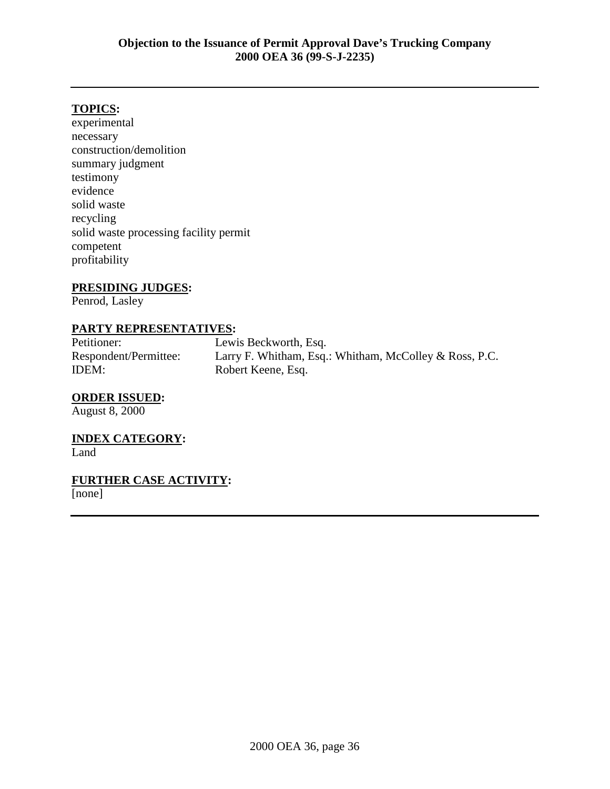## **TOPICS:**

experimental necessary construction/demolition summary judgment testimony evidence solid waste recycling solid waste processing facility permit competent profitability

#### **PRESIDING JUDGES:**

Penrod, Lasley

#### **PARTY REPRESENTATIVES:**

Petitioner: Lewis Beckworth, Esq. Respondent/Permittee: Larry F. Whitham, Esq.: Whitham, McColley & Ross, P.C. IDEM: Robert Keene, Esq.

#### **ORDER ISSUED:**

August 8, 2000

## **INDEX CATEGORY:**

Land

# **FURTHER CASE ACTIVITY:**

[none]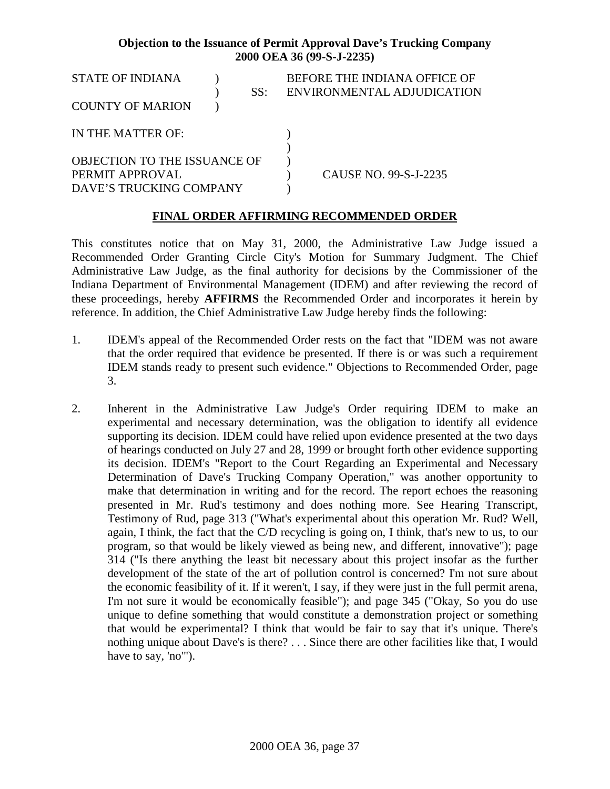| <b>STATE OF INDIANA</b><br>SS:<br><b>COUNTY OF MARION</b>                  | BEFORE THE INDIANA OFFICE OF<br>ENVIRONMENTAL ADJUDICATION |
|----------------------------------------------------------------------------|------------------------------------------------------------|
| IN THE MATTER OF:                                                          |                                                            |
| OBJECTION TO THE ISSUANCE OF<br>PERMIT APPROVAL<br>DAVE'S TRUCKING COMPANY | CAUSE NO. 99-S-J-2235                                      |

## **FINAL ORDER AFFIRMING RECOMMENDED ORDER**

This constitutes notice that on May 31, 2000, the Administrative Law Judge issued a Recommended Order Granting Circle City's Motion for Summary Judgment. The Chief Administrative Law Judge, as the final authority for decisions by the Commissioner of the Indiana Department of Environmental Management (IDEM) and after reviewing the record of these proceedings, hereby **AFFIRMS** the Recommended Order and incorporates it herein by reference. In addition, the Chief Administrative Law Judge hereby finds the following:

- 1. IDEM's appeal of the Recommended Order rests on the fact that "IDEM was not aware that the order required that evidence be presented. If there is or was such a requirement IDEM stands ready to present such evidence." Objections to Recommended Order, page 3.
- 2. Inherent in the Administrative Law Judge's Order requiring IDEM to make an experimental and necessary determination, was the obligation to identify all evidence supporting its decision. IDEM could have relied upon evidence presented at the two days of hearings conducted on July 27 and 28, 1999 or brought forth other evidence supporting its decision. IDEM's "Report to the Court Regarding an Experimental and Necessary Determination of Dave's Trucking Company Operation," was another opportunity to make that determination in writing and for the record. The report echoes the reasoning presented in Mr. Rud's testimony and does nothing more. See Hearing Transcript, Testimony of Rud, page 313 ("What's experimental about this operation Mr. Rud? Well, again, I think, the fact that the C/D recycling is going on, I think, that's new to us, to our program, so that would be likely viewed as being new, and different, innovative"); page 314 ("Is there anything the least bit necessary about this project insofar as the further development of the state of the art of pollution control is concerned? I'm not sure about the economic feasibility of it. If it weren't, I say, if they were just in the full permit arena, I'm not sure it would be economically feasible"); and page 345 ("Okay, So you do use unique to define something that would constitute a demonstration project or something that would be experimental? I think that would be fair to say that it's unique. There's nothing unique about Dave's is there? . . . Since there are other facilities like that, I would have to say, 'no'").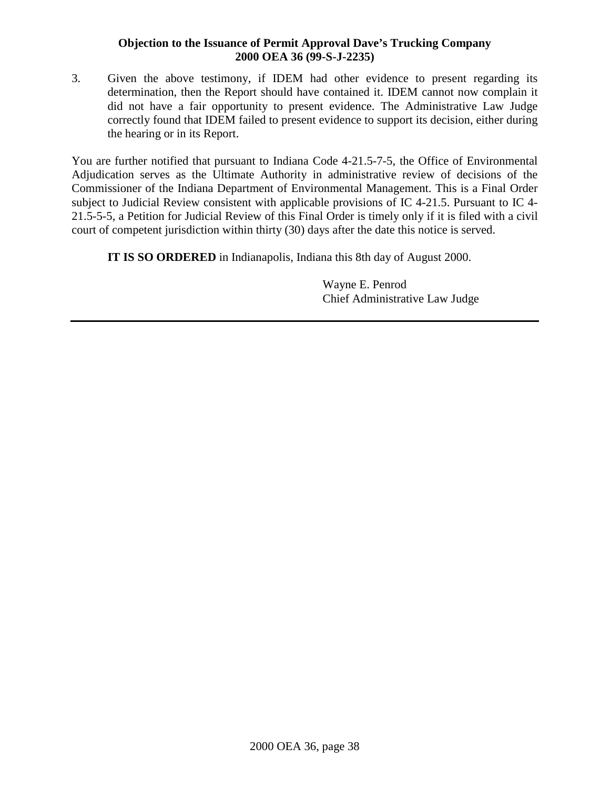3. Given the above testimony, if IDEM had other evidence to present regarding its determination, then the Report should have contained it. IDEM cannot now complain it did not have a fair opportunity to present evidence. The Administrative Law Judge correctly found that IDEM failed to present evidence to support its decision, either during the hearing or in its Report.

You are further notified that pursuant to Indiana Code 4-21.5-7-5, the Office of Environmental Adjudication serves as the Ultimate Authority in administrative review of decisions of the Commissioner of the Indiana Department of Environmental Management. This is a Final Order subject to Judicial Review consistent with applicable provisions of IC 4-21.5. Pursuant to IC 4- 21.5-5-5, a Petition for Judicial Review of this Final Order is timely only if it is filed with a civil court of competent jurisdiction within thirty (30) days after the date this notice is served.

**IT IS SO ORDERED** in Indianapolis, Indiana this 8th day of August 2000.

Wayne E. Penrod Chief Administrative Law Judge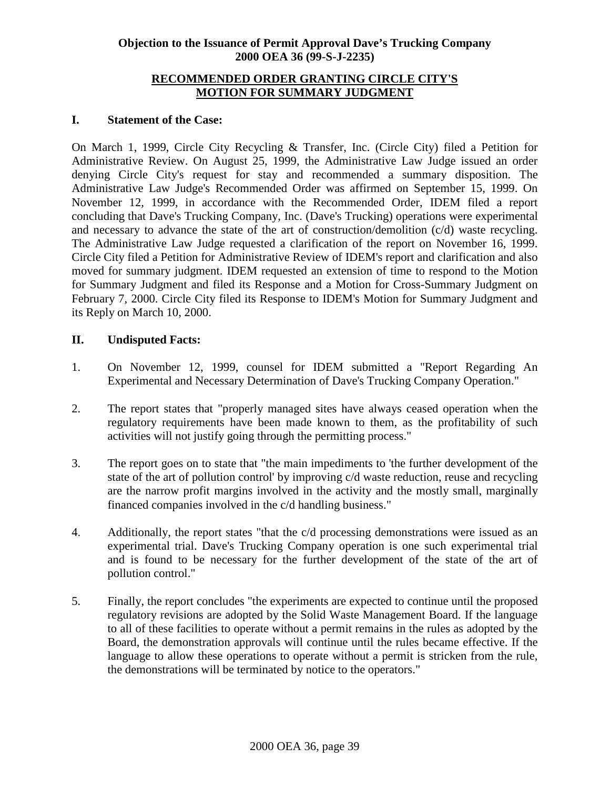#### **RECOMMENDED ORDER GRANTING CIRCLE CITY'S MOTION FOR SUMMARY JUDGMENT**

### **I. Statement of the Case:**

On March 1, 1999, Circle City Recycling & Transfer, Inc. (Circle City) filed a Petition for Administrative Review. On August 25, 1999, the Administrative Law Judge issued an order denying Circle City's request for stay and recommended a summary disposition. The Administrative Law Judge's Recommended Order was affirmed on September 15, 1999. On November 12, 1999, in accordance with the Recommended Order, IDEM filed a report concluding that Dave's Trucking Company, Inc. (Dave's Trucking) operations were experimental and necessary to advance the state of the art of construction/demolition (c/d) waste recycling. The Administrative Law Judge requested a clarification of the report on November 16, 1999. Circle City filed a Petition for Administrative Review of IDEM's report and clarification and also moved for summary judgment. IDEM requested an extension of time to respond to the Motion for Summary Judgment and filed its Response and a Motion for Cross-Summary Judgment on February 7, 2000. Circle City filed its Response to IDEM's Motion for Summary Judgment and its Reply on March 10, 2000.

## **II. Undisputed Facts:**

- 1. On November 12, 1999, counsel for IDEM submitted a "Report Regarding An Experimental and Necessary Determination of Dave's Trucking Company Operation."
- 2. The report states that "properly managed sites have always ceased operation when the regulatory requirements have been made known to them, as the profitability of such activities will not justify going through the permitting process."
- 3. The report goes on to state that "the main impediments to 'the further development of the state of the art of pollution control' by improving c/d waste reduction, reuse and recycling are the narrow profit margins involved in the activity and the mostly small, marginally financed companies involved in the c/d handling business."
- 4. Additionally, the report states "that the c/d processing demonstrations were issued as an experimental trial. Dave's Trucking Company operation is one such experimental trial and is found to be necessary for the further development of the state of the art of pollution control."
- 5. Finally, the report concludes "the experiments are expected to continue until the proposed regulatory revisions are adopted by the Solid Waste Management Board. If the language to all of these facilities to operate without a permit remains in the rules as adopted by the Board, the demonstration approvals will continue until the rules became effective. If the language to allow these operations to operate without a permit is stricken from the rule, the demonstrations will be terminated by notice to the operators."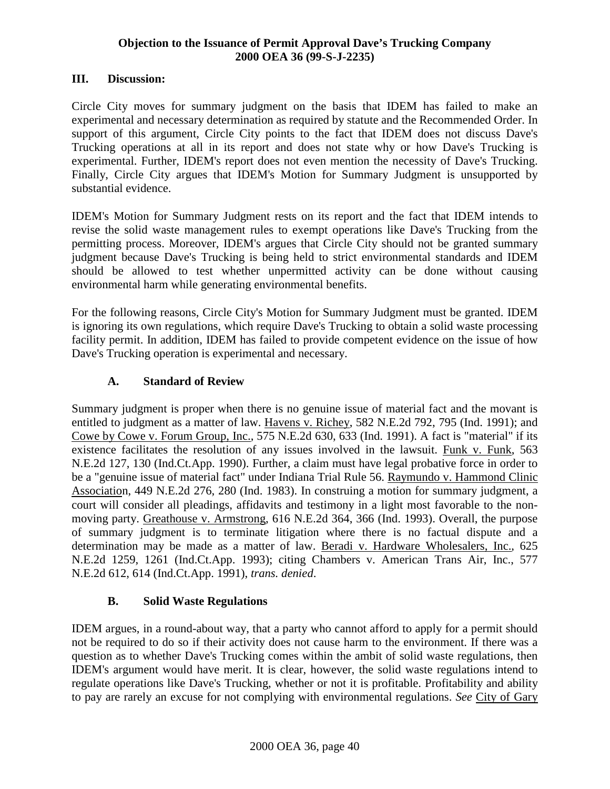## **III. Discussion:**

Circle City moves for summary judgment on the basis that IDEM has failed to make an experimental and necessary determination as required by statute and the Recommended Order. In support of this argument, Circle City points to the fact that IDEM does not discuss Dave's Trucking operations at all in its report and does not state why or how Dave's Trucking is experimental. Further, IDEM's report does not even mention the necessity of Dave's Trucking. Finally, Circle City argues that IDEM's Motion for Summary Judgment is unsupported by substantial evidence.

IDEM's Motion for Summary Judgment rests on its report and the fact that IDEM intends to revise the solid waste management rules to exempt operations like Dave's Trucking from the permitting process. Moreover, IDEM's argues that Circle City should not be granted summary judgment because Dave's Trucking is being held to strict environmental standards and IDEM should be allowed to test whether unpermitted activity can be done without causing environmental harm while generating environmental benefits.

For the following reasons, Circle City's Motion for Summary Judgment must be granted. IDEM is ignoring its own regulations, which require Dave's Trucking to obtain a solid waste processing facility permit. In addition, IDEM has failed to provide competent evidence on the issue of how Dave's Trucking operation is experimental and necessary.

# **A. Standard of Review**

Summary judgment is proper when there is no genuine issue of material fact and the movant is entitled to judgment as a matter of law. Havens v. Richey, 582 N.E.2d 792, 795 (Ind. 1991); and Cowe by Cowe v. Forum Group, Inc., 575 N.E.2d 630, 633 (Ind. 1991). A fact is "material" if its existence facilitates the resolution of any issues involved in the lawsuit. Funk v. Funk, 563 N.E.2d 127, 130 (Ind.Ct.App. 1990). Further, a claim must have legal probative force in order to be a "genuine issue of material fact" under Indiana Trial Rule 56. Raymundo v. Hammond Clinic Association, 449 N.E.2d 276, 280 (Ind. 1983). In construing a motion for summary judgment, a court will consider all pleadings, affidavits and testimony in a light most favorable to the nonmoving party. Greathouse v. Armstrong, 616 N.E.2d 364, 366 (Ind. 1993). Overall, the purpose of summary judgment is to terminate litigation where there is no factual dispute and a determination may be made as a matter of law. Beradi v. Hardware Wholesalers, Inc., 625 N.E.2d 1259, 1261 (Ind.Ct.App. 1993); citing Chambers v. American Trans Air, Inc., 577 N.E.2d 612, 614 (Ind.Ct.App. 1991), *trans. denied*.

# **B. Solid Waste Regulations**

IDEM argues, in a round-about way, that a party who cannot afford to apply for a permit should not be required to do so if their activity does not cause harm to the environment. If there was a question as to whether Dave's Trucking comes within the ambit of solid waste regulations, then IDEM's argument would have merit. It is clear, however, the solid waste regulations intend to regulate operations like Dave's Trucking, whether or not it is profitable. Profitability and ability to pay are rarely an excuse for not complying with environmental regulations. *See* City of Gary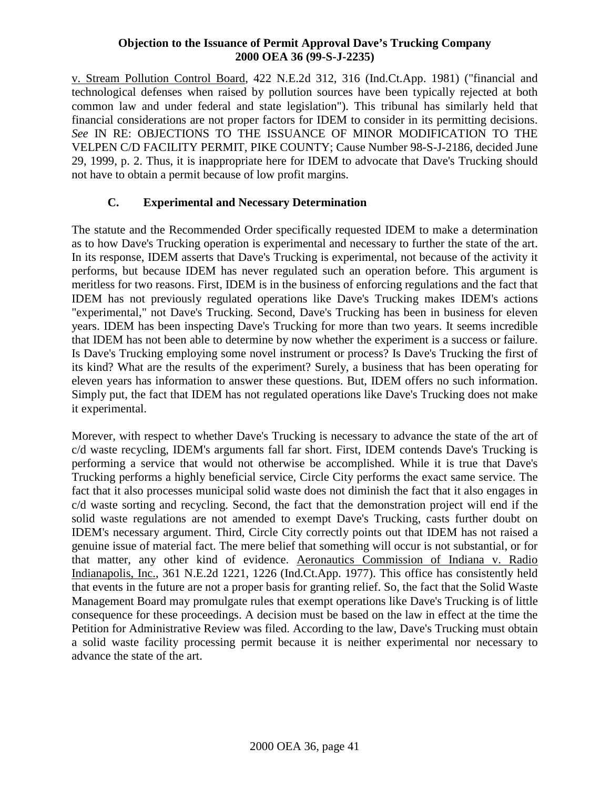v. Stream Pollution Control Board, 422 N.E.2d 312, 316 (Ind.Ct.App. 1981) ("financial and technological defenses when raised by pollution sources have been typically rejected at both common law and under federal and state legislation"). This tribunal has similarly held that financial considerations are not proper factors for IDEM to consider in its permitting decisions. *See* IN RE: OBJECTIONS TO THE ISSUANCE OF MINOR MODIFICATION TO THE VELPEN C/D FACILITY PERMIT, PIKE COUNTY; Cause Number 98-S-J-2186, decided June 29, 1999, p. 2. Thus, it is inappropriate here for IDEM to advocate that Dave's Trucking should not have to obtain a permit because of low profit margins.

# **C. Experimental and Necessary Determination**

The statute and the Recommended Order specifically requested IDEM to make a determination as to how Dave's Trucking operation is experimental and necessary to further the state of the art. In its response, IDEM asserts that Dave's Trucking is experimental, not because of the activity it performs, but because IDEM has never regulated such an operation before. This argument is meritless for two reasons. First, IDEM is in the business of enforcing regulations and the fact that IDEM has not previously regulated operations like Dave's Trucking makes IDEM's actions "experimental," not Dave's Trucking. Second, Dave's Trucking has been in business for eleven years. IDEM has been inspecting Dave's Trucking for more than two years. It seems incredible that IDEM has not been able to determine by now whether the experiment is a success or failure. Is Dave's Trucking employing some novel instrument or process? Is Dave's Trucking the first of its kind? What are the results of the experiment? Surely, a business that has been operating for eleven years has information to answer these questions. But, IDEM offers no such information. Simply put, the fact that IDEM has not regulated operations like Dave's Trucking does not make it experimental.

Morever, with respect to whether Dave's Trucking is necessary to advance the state of the art of c/d waste recycling, IDEM's arguments fall far short. First, IDEM contends Dave's Trucking is performing a service that would not otherwise be accomplished. While it is true that Dave's Trucking performs a highly beneficial service, Circle City performs the exact same service. The fact that it also processes municipal solid waste does not diminish the fact that it also engages in c/d waste sorting and recycling. Second, the fact that the demonstration project will end if the solid waste regulations are not amended to exempt Dave's Trucking, casts further doubt on IDEM's necessary argument. Third, Circle City correctly points out that IDEM has not raised a genuine issue of material fact. The mere belief that something will occur is not substantial, or for that matter, any other kind of evidence. Aeronautics Commission of Indiana v. Radio Indianapolis, Inc., 361 N.E.2d 1221, 1226 (Ind.Ct.App. 1977). This office has consistently held that events in the future are not a proper basis for granting relief. So, the fact that the Solid Waste Management Board may promulgate rules that exempt operations like Dave's Trucking is of little consequence for these proceedings. A decision must be based on the law in effect at the time the Petition for Administrative Review was filed. According to the law, Dave's Trucking must obtain a solid waste facility processing permit because it is neither experimental nor necessary to advance the state of the art.